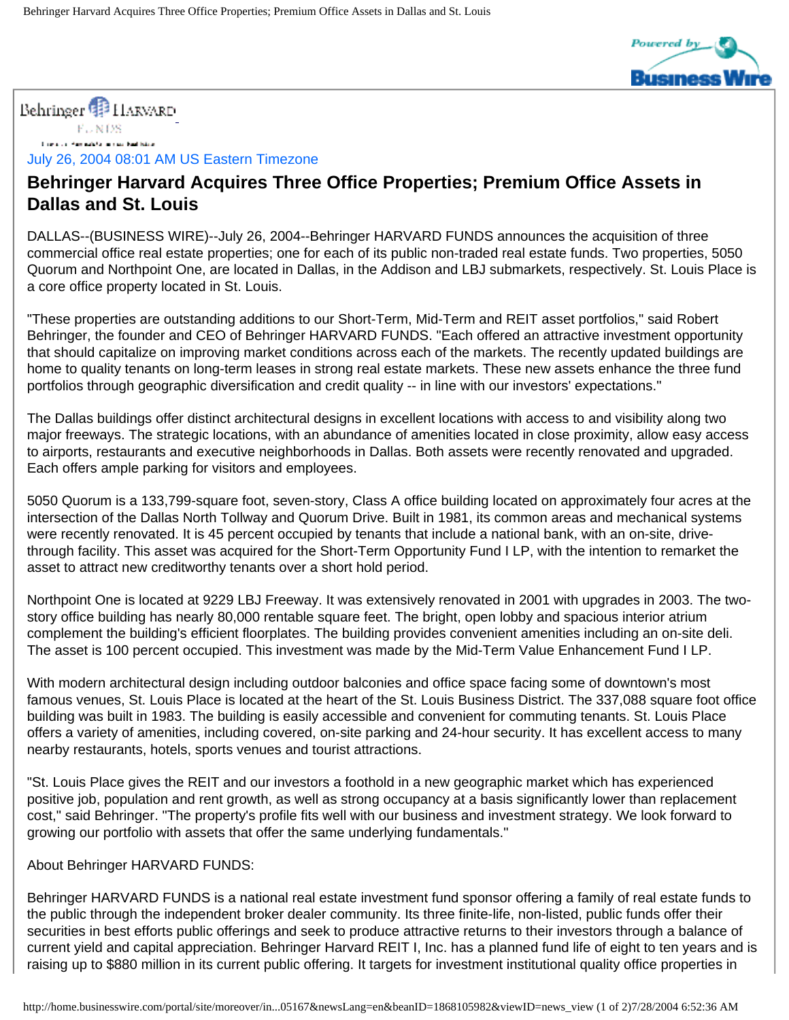

## Behringer<sup>9</sup> HARVARD

 $F \cup NDS$ **Company Hambula Company Bad Island** 

July 26, 2004 08:01 AM US Eastern Timezone

## **Behringer Harvard Acquires Three Office Properties; Premium Office Assets in Dallas and St. Louis**

DALLAS--(BUSINESS WIRE)--July 26, 2004--Behringer HARVARD FUNDS announces the acquisition of three commercial office real estate properties; one for each of its public non-traded real estate funds. Two properties, 5050 Quorum and Northpoint One, are located in Dallas, in the Addison and LBJ submarkets, respectively. St. Louis Place is a core office property located in St. Louis.

"These properties are outstanding additions to our Short-Term, Mid-Term and REIT asset portfolios," said Robert Behringer, the founder and CEO of Behringer HARVARD FUNDS. "Each offered an attractive investment opportunity that should capitalize on improving market conditions across each of the markets. The recently updated buildings are home to quality tenants on long-term leases in strong real estate markets. These new assets enhance the three fund portfolios through geographic diversification and credit quality -- in line with our investors' expectations."

The Dallas buildings offer distinct architectural designs in excellent locations with access to and visibility along two major freeways. The strategic locations, with an abundance of amenities located in close proximity, allow easy access to airports, restaurants and executive neighborhoods in Dallas. Both assets were recently renovated and upgraded. Each offers ample parking for visitors and employees.

5050 Quorum is a 133,799-square foot, seven-story, Class A office building located on approximately four acres at the intersection of the Dallas North Tollway and Quorum Drive. Built in 1981, its common areas and mechanical systems were recently renovated. It is 45 percent occupied by tenants that include a national bank, with an on-site, drivethrough facility. This asset was acquired for the Short-Term Opportunity Fund I LP, with the intention to remarket the asset to attract new creditworthy tenants over a short hold period.

Northpoint One is located at 9229 LBJ Freeway. It was extensively renovated in 2001 with upgrades in 2003. The twostory office building has nearly 80,000 rentable square feet. The bright, open lobby and spacious interior atrium complement the building's efficient floorplates. The building provides convenient amenities including an on-site deli. The asset is 100 percent occupied. This investment was made by the Mid-Term Value Enhancement Fund I LP.

With modern architectural design including outdoor balconies and office space facing some of downtown's most famous venues, St. Louis Place is located at the heart of the St. Louis Business District. The 337,088 square foot office building was built in 1983. The building is easily accessible and convenient for commuting tenants. St. Louis Place offers a variety of amenities, including covered, on-site parking and 24-hour security. It has excellent access to many nearby restaurants, hotels, sports venues and tourist attractions.

"St. Louis Place gives the REIT and our investors a foothold in a new geographic market which has experienced positive job, population and rent growth, as well as strong occupancy at a basis significantly lower than replacement cost," said Behringer. "The property's profile fits well with our business and investment strategy. We look forward to growing our portfolio with assets that offer the same underlying fundamentals."

## About Behringer HARVARD FUNDS:

Behringer HARVARD FUNDS is a national real estate investment fund sponsor offering a family of real estate funds to the public through the independent broker dealer community. Its three finite-life, non-listed, public funds offer their securities in best efforts public offerings and seek to produce attractive returns to their investors through a balance of current yield and capital appreciation. Behringer Harvard REIT I, Inc. has a planned fund life of eight to ten years and is raising up to \$880 million in its current public offering. It targets for investment institutional quality office properties in